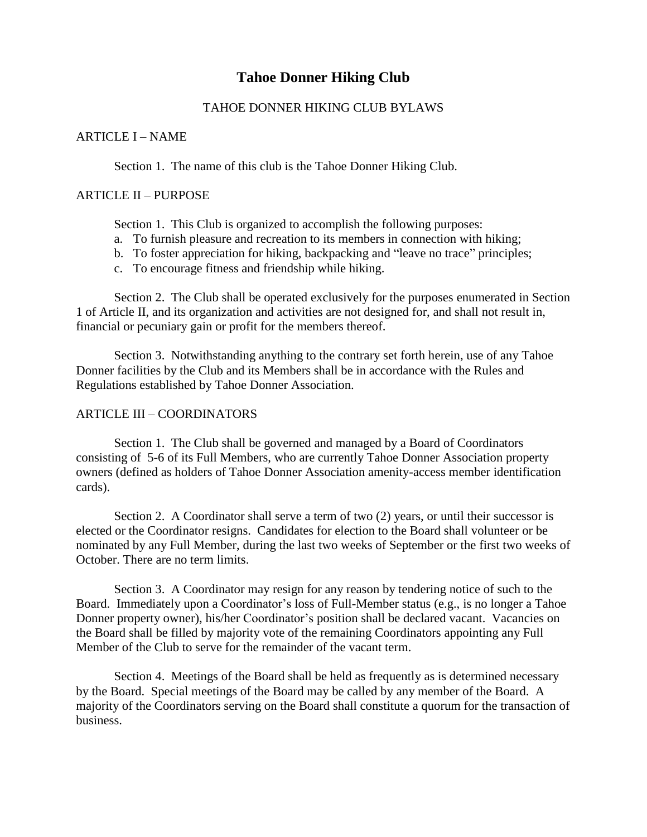# **Tahoe Donner Hiking Club**

# TAHOE DONNER HIKING CLUB BYLAWS

### ARTICLE I – NAME

Section 1. The name of this club is the Tahoe Donner Hiking Club.

### ARTICLE II – PURPOSE

Section 1. This Club is organized to accomplish the following purposes:

- a. To furnish pleasure and recreation to its members in connection with hiking;
- b. To foster appreciation for hiking, backpacking and "leave no trace" principles;
- c. To encourage fitness and friendship while hiking.

Section 2. The Club shall be operated exclusively for the purposes enumerated in Section 1 of Article II, and its organization and activities are not designed for, and shall not result in, financial or pecuniary gain or profit for the members thereof.

Section 3. Notwithstanding anything to the contrary set forth herein, use of any Tahoe Donner facilities by the Club and its Members shall be in accordance with the Rules and Regulations established by Tahoe Donner Association.

# ARTICLE III – COORDINATORS

Section 1. The Club shall be governed and managed by a Board of Coordinators consisting of 5-6 of its Full Members, who are currently Tahoe Donner Association property owners (defined as holders of Tahoe Donner Association amenity-access member identification cards).

Section 2. A Coordinator shall serve a term of two (2) years, or until their successor is elected or the Coordinator resigns. Candidates for election to the Board shall volunteer or be nominated by any Full Member, during the last two weeks of September or the first two weeks of October. There are no term limits.

Section 3. A Coordinator may resign for any reason by tendering notice of such to the Board. Immediately upon a Coordinator's loss of Full-Member status (e.g., is no longer a Tahoe Donner property owner), his/her Coordinator's position shall be declared vacant. Vacancies on the Board shall be filled by majority vote of the remaining Coordinators appointing any Full Member of the Club to serve for the remainder of the vacant term.

Section 4. Meetings of the Board shall be held as frequently as is determined necessary by the Board. Special meetings of the Board may be called by any member of the Board. A majority of the Coordinators serving on the Board shall constitute a quorum for the transaction of business.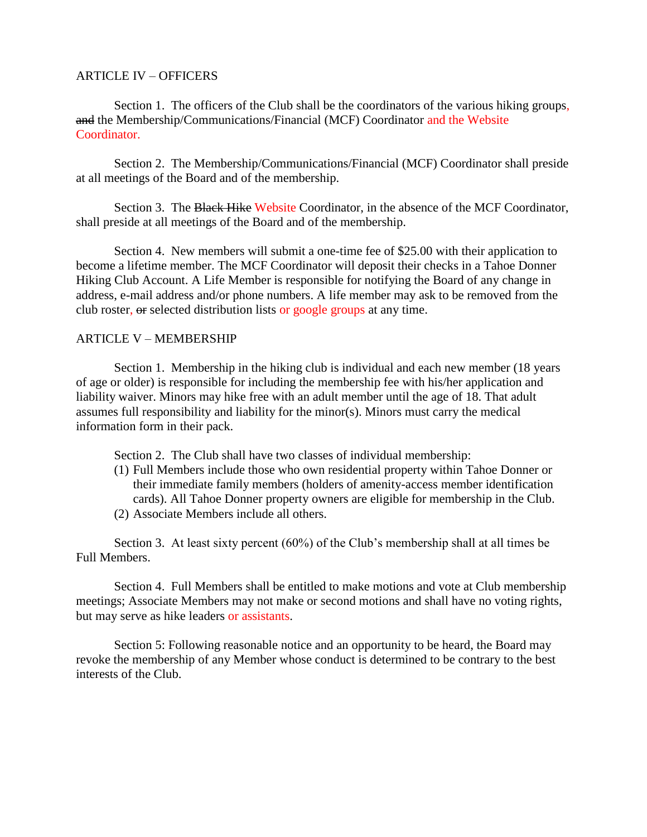### ARTICLE IV – OFFICERS

Section 1. The officers of the Club shall be the coordinators of the various hiking groups, and the Membership/Communications/Financial (MCF) Coordinator and the Website Coordinator.

Section 2. The Membership/Communications/Financial (MCF) Coordinator shall preside at all meetings of the Board and of the membership.

Section 3. The Black Hike Website Coordinator, in the absence of the MCF Coordinator, shall preside at all meetings of the Board and of the membership.

Section 4. New members will submit a one-time fee of \$25.00 with their application to become a lifetime member. The MCF Coordinator will deposit their checks in a Tahoe Donner Hiking Club Account. A Life Member is responsible for notifying the Board of any change in address, e-mail address and/or phone numbers. A life member may ask to be removed from the club roster, or selected distribution lists or google groups at any time.

# ARTICLE V – MEMBERSHIP

Section 1. Membership in the hiking club is individual and each new member (18 years of age or older) is responsible for including the membership fee with his/her application and liability waiver. Minors may hike free with an adult member until the age of 18. That adult assumes full responsibility and liability for the minor(s). Minors must carry the medical information form in their pack.

Section 2. The Club shall have two classes of individual membership:

- (1) Full Members include those who own residential property within Tahoe Donner or their immediate family members (holders of amenity-access member identification cards). All Tahoe Donner property owners are eligible for membership in the Club. (2) Associate Members include all others.
- 

Section 3. At least sixty percent (60%) of the Club's membership shall at all times be Full Members.

Section 4. Full Members shall be entitled to make motions and vote at Club membership meetings; Associate Members may not make or second motions and shall have no voting rights, but may serve as hike leaders or assistants.

Section 5: Following reasonable notice and an opportunity to be heard, the Board may revoke the membership of any Member whose conduct is determined to be contrary to the best interests of the Club.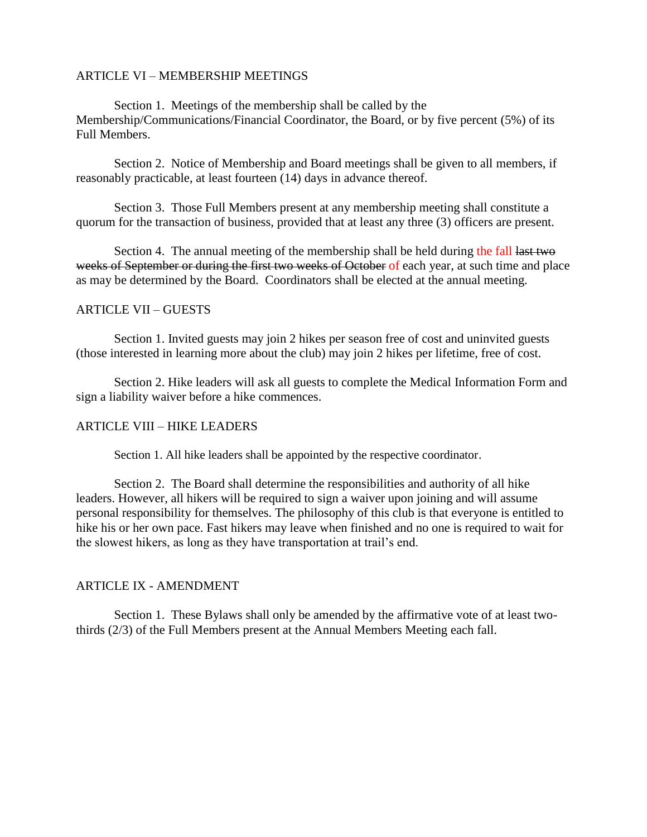### ARTICLE VI – MEMBERSHIP MEETINGS

Section 1. Meetings of the membership shall be called by the Membership/Communications/Financial Coordinator, the Board, or by five percent (5%) of its Full Members.

Section 2. Notice of Membership and Board meetings shall be given to all members, if reasonably practicable, at least fourteen (14) days in advance thereof.

Section 3. Those Full Members present at any membership meeting shall constitute a quorum for the transaction of business, provided that at least any three (3) officers are present.

Section 4. The annual meeting of the membership shall be held during the fall last two weeks of September or during the first two weeks of October of each year, at such time and place as may be determined by the Board. Coordinators shall be elected at the annual meeting.

### ARTICLE VII – GUESTS

Section 1. Invited guests may join 2 hikes per season free of cost and uninvited guests (those interested in learning more about the club) may join 2 hikes per lifetime, free of cost.

Section 2. Hike leaders will ask all guests to complete the Medical Information Form and sign a liability waiver before a hike commences.

# ARTICLE VIII – HIKE LEADERS

Section 1. All hike leaders shall be appointed by the respective coordinator.

Section 2. The Board shall determine the responsibilities and authority of all hike leaders. However, all hikers will be required to sign a waiver upon joining and will assume personal responsibility for themselves. The philosophy of this club is that everyone is entitled to hike his or her own pace. Fast hikers may leave when finished and no one is required to wait for the slowest hikers, as long as they have transportation at trail's end.

# ARTICLE IX - AMENDMENT

Section 1. These Bylaws shall only be amended by the affirmative vote of at least twothirds (2/3) of the Full Members present at the Annual Members Meeting each fall.